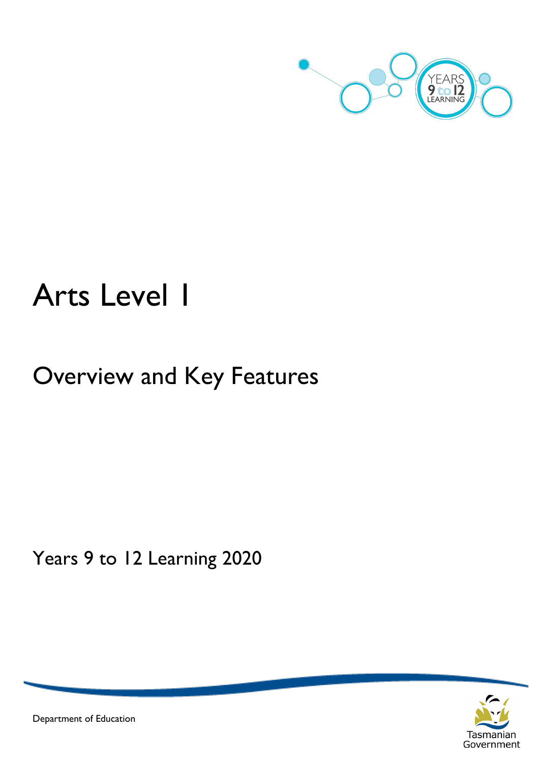

# Arts Level 1

# Overview and Key Features

Years 9 to 12 Learning 2020



Department of Education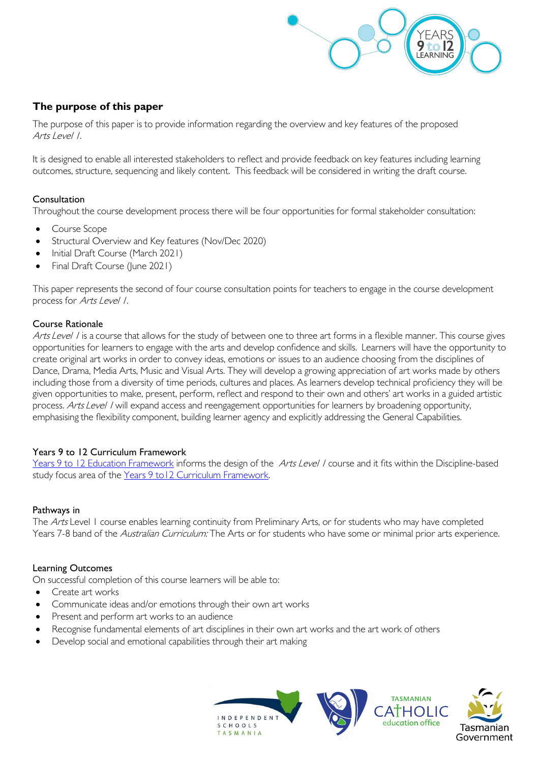

# **The purpose of this paper**

The purpose of this paper is to provide information regarding the overview and key features of the proposed Arts Level 1.

It is designed to enable all interested stakeholders to reflect and provide feedback on key features including learning outcomes, structure, sequencing and likely content. This feedback will be considered in writing the draft course.

# Consultation

Throughout the course development process there will be four opportunities for formal stakeholder consultation:

- Course Scope
- Structural Overview and Key features (Nov/Dec 2020)
- Initial Draft Course (March 2021)
- Final Draft Course (June 2021)

This paper represents the second of four course consultation points for teachers to engage in the course development process for Arts Level 1.

# Course Rationale

Arts Level I is a course that allows for the study of between one to three art forms in a flexible manner. This course gives opportunities for learners to engage with the arts and develop confidence and skills. Learners will have the opportunity to create original art works in order to convey ideas, emotions or issues to an audience choosing from the disciplines of Dance, Drama, Media Arts, Music and Visual Arts. They will develop a growing appreciation of art works made by others including those from a diversity of time periods, cultures and places. As learners develop technical proficiency they will be given opportunities to make, present, perform, reflect and respond to their own and others' art works in a guided artistic process. Arts Level / will expand access and reengagement opportunities for learners by broadening opportunity, emphasising the flexibility component, building learner agency and explicitly addressing the General Capabilities.

# Years 9 to 12 Curriculum Framework

[Years 9 to 12 Education Framework](https://publicdocumentcentre.education.tas.gov.au/library/Shared%20Documents/Years-9-to-12-Education-Framework.pdf) informs the design of the *Arts Level I* course and it fits within the Discipline-based study focus area of th[e Years 9 to12 Curriculum Framework.](https://publicdocumentcentre.education.tas.gov.au/library/Shared%20Documents/Education%209-12%20Frameworks%20A3%20WEB%20POSTER.pdf) 

#### Pathways in

The Arts Level 1 course enables learning continuity from Preliminary Arts, or for students who may have completed Years 7-8 band of the *Australian Curriculum:* The Arts or for students who have some or minimal prior arts experience.

#### Learning Outcomes

On successful completion of this course learners will be able to:

- Create art works
- Communicate ideas and/or emotions through their own art works
- Present and perform art works to an audience
- Recognise fundamental elements of art disciplines in their own art works and the art work of others
- Develop social and emotional capabilities through their art making





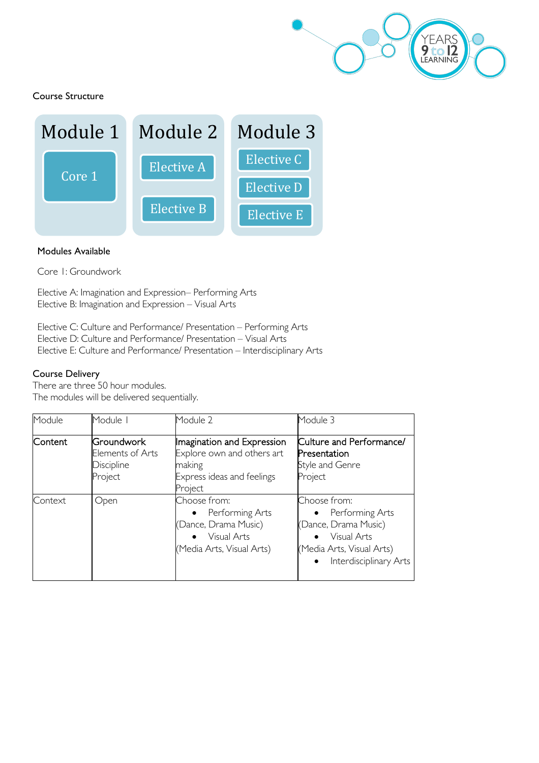

Course Structure



#### Modules Available

Core 1: Groundwork

Elective A: Imagination and Expression– Performing Arts Elective B: Imagination and Expression – Visual Arts

Elective C: Culture and Performance/ Presentation – Performing Arts Elective D: Culture and Performance/ Presentation – Visual Arts Elective E: Culture and Performance/ Presentation – Interdisciplinary Arts

#### Course Delivery

There are three 50 hour modules. The modules will be delivered sequentially.

| Module  | Module I                                                       | Module 2                                                                                                    | Module 3                                                                                                                                     |  |
|---------|----------------------------------------------------------------|-------------------------------------------------------------------------------------------------------------|----------------------------------------------------------------------------------------------------------------------------------------------|--|
| Content | Groundwork<br>Elements of Arts<br><b>Discipline</b><br>Project | Imagination and Expression<br>Explore own and others art<br>making<br>Express ideas and feelings<br>Project | Culture and Performance/<br>Presentation<br>Style and Genre<br>Project                                                                       |  |
| Context | Open                                                           | Choose from:<br>• Performing Arts<br>(Dance, Drama Music)<br>Visual Arts<br>(Media Arts, Visual Arts)       | Choose from:<br>• Performing Arts<br>(Dance, Drama Music)<br>Visual Arts<br>(Media Arts, Visual Arts)<br>Interdisciplinary Arts<br>$\bullet$ |  |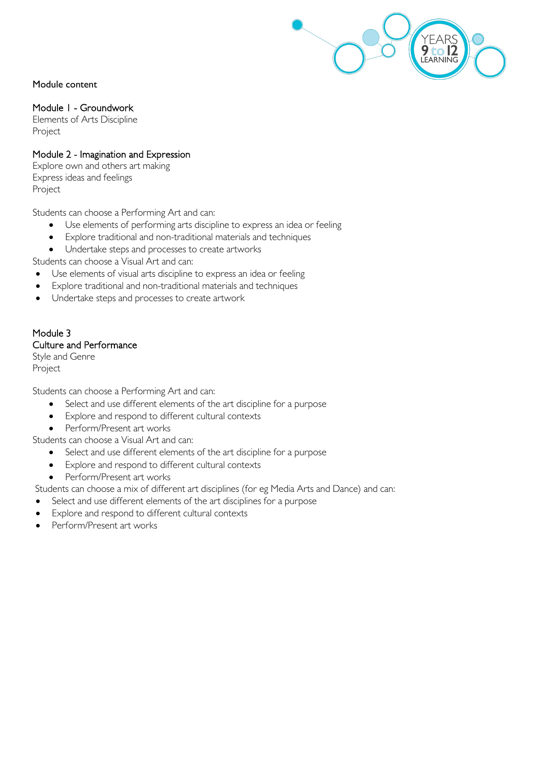

Module content

# Module 1 - Groundwork

Elements of Arts Discipline Project

# Module 2 - Imagination and Expression

Explore own and others art making Express ideas and feelings Project

Students can choose a Performing Art and can:

- Use elements of performing arts discipline to express an idea or feeling
- Explore traditional and non-traditional materials and techniques
- Undertake steps and processes to create artworks

Students can choose a Visual Art and can:

- Use elements of visual arts discipline to express an idea or feeling
- Explore traditional and non-traditional materials and techniques
- Undertake steps and processes to create artwork

# Module 3 Culture and Performance

Style and Genre Project

Students can choose a Performing Art and can:

- Select and use different elements of the art discipline for a purpose
- Explore and respond to different cultural contexts
- Perform/Present art works

Students can choose a Visual Art and can:

- Select and use different elements of the art discipline for a purpose
- Explore and respond to different cultural contexts
- Perform/Present art works

Students can choose a mix of different art disciplines (for eg Media Arts and Dance) and can:

- Select and use different elements of the art disciplines for a purpose
- Explore and respond to different cultural contexts
- Perform/Present art works